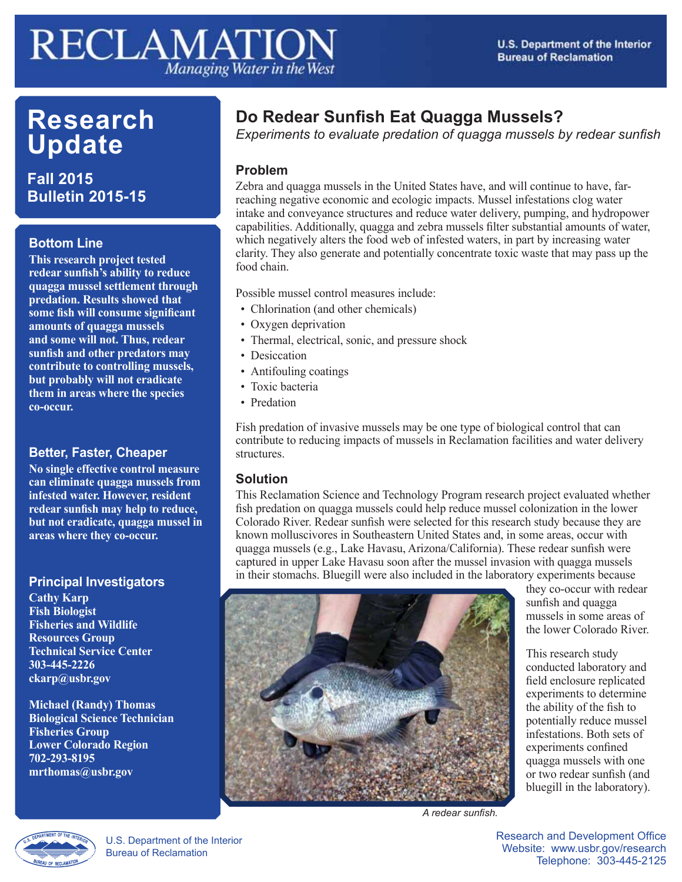# **RECLAMATION** Managing Water in the West

# **Research Update**

**Fall 2015 Bulletin 2015-15**

#### **Bottom Line**

**This research project tested redear sunfish's ability to reduce quagga mussel settlement through predation. Results showed that some fish will consume significant amounts of quagga mussels and some will not. Thus, redear sunfish and other predators may contribute to controlling mussels, but probably will not eradicate them in areas where the species co-occur.**

## **Better, Faster, Cheaper**

**No single effective control measure can eliminate quagga mussels from infested water. However, resident redear sunfish may help to reduce, but not eradicate, quagga mussel in areas where they co-occur.**

#### **Principal Investigators**

**Cathy Karp Fish Biologist Fisheries and Wildlife Resources Group Technical Service Center 303-445-2226 ckarp@usbr.gov**

**Michael (Randy) Thomas Biological Science Technician Fisheries Group Lower Colorado Region 702-293-8195 mrthomas@usbr.gov**

# **Do Redear Sunfish Eat Quagga Mussels?**

*Experiments to evaluate predation of quagga mussels by redear sunfish*

#### **Problem**

Zebra and quagga mussels in the United States have, and will continue to have, farreaching negative economic and ecologic impacts. Mussel infestations clog water intake and conveyance structures and reduce water delivery, pumping, and hydropower capabilities. Additionally, quagga and zebra mussels filter substantial amounts of water, which negatively alters the food web of infested waters, in part by increasing water clarity. They also generate and potentially concentrate toxic waste that may pass up the food chain.

Possible mussel control measures include:

- Chlorination (and other chemicals)
- Oxygen deprivation
- Thermal, electrical, sonic, and pressure shock
- Desiccation
- Antifouling coatings
- Toxic bacteria
- Predation

Fish predation of invasive mussels may be one type of biological control that can contribute to reducing impacts of mussels in Reclamation facilities and water delivery structures.

#### **Solution**

This Reclamation Science and Technology Program research project evaluated whether fish predation on quagga mussels could help reduce mussel colonization in the lower Colorado River. Redear sunfish were selected for this research study because they are known molluscivores in Southeastern United States and, in some areas, occur with quagga mussels (e.g., Lake Havasu, Arizona/California). These redear sunfish were captured in upper Lake Havasu soon after the mussel invasion with quagga mussels in their stomachs. Bluegill were also included in the laboratory experiments because



they co-occur with redear sunfish and quagga mussels in some areas of the lower Colorado River.

This research study conducted laboratory and field enclosure replicated experiments to determine the ability of the fish to potentially reduce mussel infestations. Both sets of experiments confined quagga mussels with one or two redear sunfish (and bluegill in the laboratory).

*A redear sunfish.*

U.S. Department of the Interior Bureau of Reclamation

Research and Development Office Website: www.usbr.gov/research Telephone: 303-445-2125